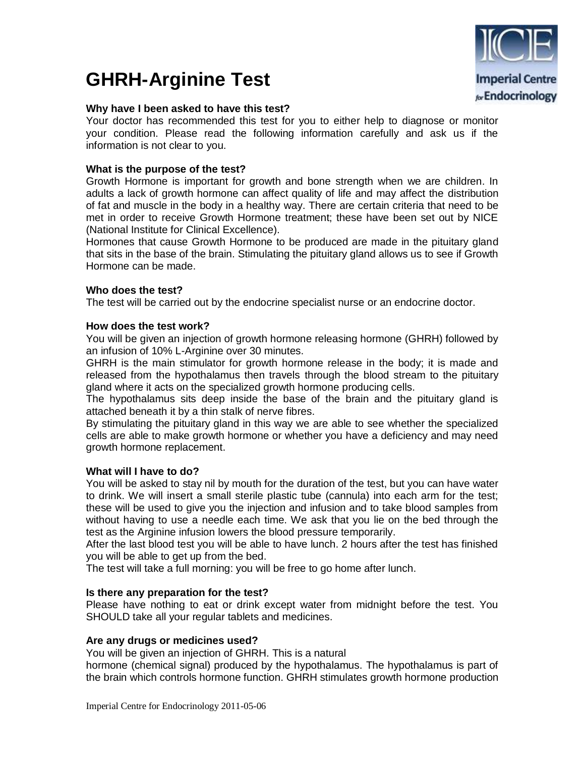# **GHRH-Arginine Test**

## **Why have I been asked to have this test?**

Your doctor has recommended this test for you to either help to diagnose or monitor your condition. Please read the following information carefully and ask us if the information is not clear to you.

## **What is the purpose of the test?**

Growth Hormone is important for growth and bone strength when we are children. In adults a lack of growth hormone can affect quality of life and may affect the distribution of fat and muscle in the body in a healthy way. There are certain criteria that need to be met in order to receive Growth Hormone treatment; these have been set out by NICE (National Institute for Clinical Excellence).

Hormones that cause Growth Hormone to be produced are made in the pituitary gland that sits in the base of the brain. Stimulating the pituitary gland allows us to see if Growth Hormone can be made.

## **Who does the test?**

The test will be carried out by the endocrine specialist nurse or an endocrine doctor.

## **How does the test work?**

You will be given an injection of growth hormone releasing hormone (GHRH) followed by an infusion of 10% L-Arginine over 30 minutes.

GHRH is the main stimulator for growth hormone release in the body; it is made and released from the hypothalamus then travels through the blood stream to the pituitary gland where it acts on the specialized growth hormone producing cells.

The hypothalamus sits deep inside the base of the brain and the pituitary gland is attached beneath it by a thin stalk of nerve fibres.

By stimulating the pituitary gland in this way we are able to see whether the specialized cells are able to make growth hormone or whether you have a deficiency and may need growth hormone replacement.

#### **What will I have to do?**

You will be asked to stay nil by mouth for the duration of the test, but you can have water to drink. We will insert a small sterile plastic tube (cannula) into each arm for the test; these will be used to give you the injection and infusion and to take blood samples from without having to use a needle each time. We ask that you lie on the bed through the test as the Arginine infusion lowers the blood pressure temporarily.

After the last blood test you will be able to have lunch. 2 hours after the test has finished you will be able to get up from the bed.

The test will take a full morning: you will be free to go home after lunch.

#### **Is there any preparation for the test?**

Please have nothing to eat or drink except water from midnight before the test. You SHOULD take all your regular tablets and medicines.

#### **Are any drugs or medicines used?**

You will be given an injection of GHRH. This is a natural

hormone (chemical signal) produced by the hypothalamus. The hypothalamus is part of the brain which controls hormone function. GHRH stimulates growth hormone production